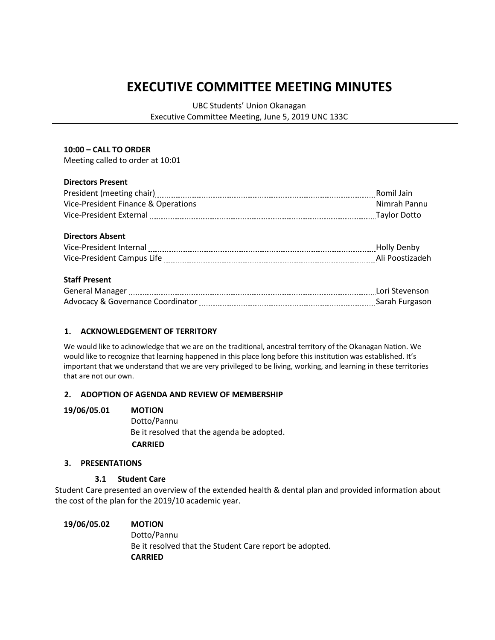# **EXECUTIVE COMMITTEE MEETING MINUTES**

UBC Students' Union Okanagan

Executive Committee Meeting, June 5, 2019 UNC 133C

### **10:00 – CALL TO ORDER**

Meeting called to order at 10:01

### **Directors Present**

| President (meeting chair)           | Romil Jain   |
|-------------------------------------|--------------|
| Vice-President Finance & Operations | Nimrah Pannu |
| Vice-President External             | Taylor Dotto |
|                                     |              |

#### **Directors Absent**

| Vice-President Internal    |  |
|----------------------------|--|
| Vice-President Campus Life |  |

### **Staff Present**

| <b>General Manager</b>                       | Lori Stevenson |
|----------------------------------------------|----------------|
| <b>Advocacy &amp; Governance Coordinator</b> | Sarah Furgason |

### **1. ACKNOWLEDGEMENT OF TERRITORY**

We would like to acknowledge that we are on the traditional, ancestral territory of the Okanagan Nation. We would like to recognize that learning happened in this place long before this institution was established. It's important that we understand that we are very privileged to be living, working, and learning in these territories that are not our own.

### **2. ADOPTION OF AGENDA AND REVIEW OF MEMBERSHIP**

#### **19/06/05.01 MOTION**

Dotto/Pannu Be it resolved that the agenda be adopted.  **CARRIED**

#### **3. PRESENTATIONS**

### **3.1 Student Care**

Student Care presented an overview of the extended health & dental plan and provided information about the cost of the plan for the 2019/10 academic year.

## **19/06/05.02 MOTION** Dotto/Pannu Be it resolved that the Student Care report be adopted. **CARRIED**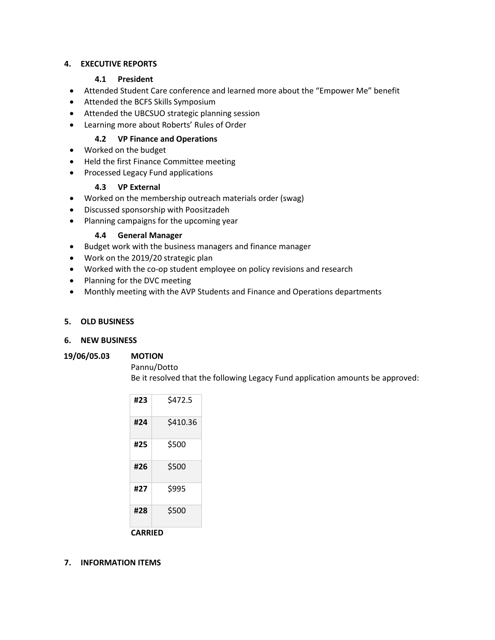## **4. EXECUTIVE REPORTS**

## **4.1 President**

- Attended Student Care conference and learned more about the "Empower Me" benefit
- Attended the BCFS Skills Symposium
- Attended the UBCSUO strategic planning session
- Learning more about Roberts' Rules of Order

## **4.2 VP Finance and Operations**

- Worked on the budget
- Held the first Finance Committee meeting
- Processed Legacy Fund applications

# **4.3 VP External**

- Worked on the membership outreach materials order (swag)
- Discussed sponsorship with Poositzadeh
- Planning campaigns for the upcoming year

## **4.4 General Manager**

- Budget work with the business managers and finance manager
- Work on the 2019/20 strategic plan
- Worked with the co-op student employee on policy revisions and research
- Planning for the DVC meeting
- Monthly meeting with the AVP Students and Finance and Operations departments

## **5. OLD BUSINESS**

## **6. NEW BUSINESS**

### **19/06/05.03 MOTION**

Pannu/Dotto Be it resolved that the following Legacy Fund application amounts be approved:

| #23     | \$472.5  |  |
|---------|----------|--|
| #24     | \$410.36 |  |
| #25     | \$500    |  |
| #26     | \$500    |  |
| #27     | \$995    |  |
| #28     | \$500    |  |
| CARRIED |          |  |

## **7. INFORMATION ITEMS**